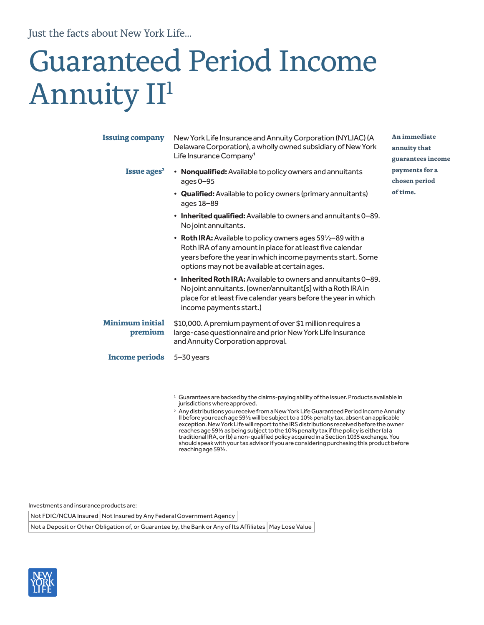Just the facts about New York Life...

# Guaranteed Period Income Annuity II<sup>1</sup>

| <b>Issuing company</b>            | New York Life Insurance and Annuity Corporation (NYLIAC) (A<br>Delaware Corporation), a wholly owned subsidiary of New York<br>Life Insurance Company <sup>1</sup>                                                                            | An immediate<br>annuity that<br>guarantees income |
|-----------------------------------|-----------------------------------------------------------------------------------------------------------------------------------------------------------------------------------------------------------------------------------------------|---------------------------------------------------|
| Issue ages <sup>2</sup>           | • Nonqualified: Available to policy owners and annuitants<br>ages $0-95$                                                                                                                                                                      | payments for a<br>chosen period                   |
|                                   | • Qualified: Available to policy owners (primary annuitants)<br>ages 18-89                                                                                                                                                                    | of time.                                          |
|                                   | • Inherited qualified: Available to owners and annuitants 0-89.<br>No joint annuitants.                                                                                                                                                       |                                                   |
|                                   | • Roth IRA: Available to policy owners ages 591/2-89 with a<br>Roth IRA of any amount in place for at least five calendar<br>years before the year in which income payments start. Some<br>options may not be available at certain ages.      |                                                   |
|                                   | <b>Inherited Roth IRA:</b> Available to owners and annuitants 0–89.<br>$\bullet$<br>No joint annuitants. (owner/annuitant[s] with a Roth IRA in<br>place for at least five calendar years before the year in which<br>income payments start.) |                                                   |
| <b>Minimum initial</b><br>premium | \$10,000. A premium payment of over \$1 million requires a<br>large-case questionnaire and prior New York Life Insurance<br>and Annuity Corporation approval.                                                                                 |                                                   |
| <b>Income periods</b>             | $5 - 30$ years                                                                                                                                                                                                                                |                                                   |

<sup>1</sup> Guarantees are backed by the claims-paying ability of the issuer. Products available in jurisdictions where approved.

<sup>2</sup> Any distributions you receive from a New York Life Guaranteed Period Income Annuity II before you reach age 59½ will be subject to a 10% penalty tax, absent an applicable exception. New York Life will report to the IRS distributions received before the owner reaches age 59½ as being subject to the 10% penalty tax if the policy is either (a) a traditional IRA, or (b) a non-qualified policy acquired in a Section 1035 exchange. You should speak with your tax advisor if you are considering purchasing this product before reaching age 59½.

Investments and insurance products are:

Not FDIC/NCUA Insured | Not Insured by Any Federal Government Agency

Not a Deposit or Other Obligation of, or Guarantee by, the Bank or Any of Its Affiliates | May Lose Value

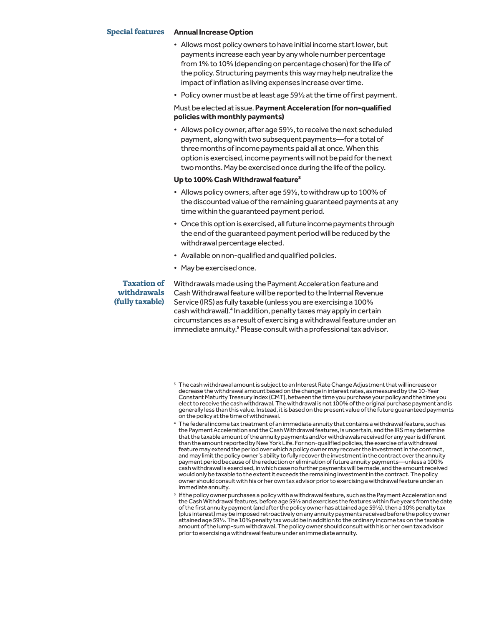### **Special features Annual Increase Option**

- Allows most policy owners to have initial income start lower, but payments increase each year by any whole number percentage from 1% to 10% (depending on percentage chosen) for the life of the policy. Structuring payments this way may help neutralize the impact of inflation as living expenses increase over time.
- Policy owner must be at least age 59½ at the time of first payment.

# Must be elected at issue. **Payment Acceleration (for non-qualified policies with monthly payments)**

• Allows policy owner, after age 59½, to receive the next scheduled payment, along with two subsequent payments—for a total of three months of income payments paid all at once. When this option is exercised, income payments will not be paid for the next two months. May be exercised once during the life of the policy.

#### **Up to 100% Cash Withdrawal feature3**

- Allows policy owners, after age 59½, to withdraw up to 100% of the discounted value of the remaining guaranteed payments at any time within the guaranteed payment period.
- Once this option is exercised, all future income payments through the end of the guaranteed payment period will be reduced by the withdrawal percentage elected.
- Available on non-qualified and qualified policies.
- May be exercised once.

## **Taxation of withdrawals (fully taxable)**

Withdrawals made using the Payment Acceleration feature and Cash Withdrawal feature will be reported to the Internal Revenue Service (IRS) as fully taxable (unless you are exercising a 100% cash withdrawal).<sup>4</sup> In addition, penalty taxes may apply in certain circumstances as a result of exercising a withdrawal feature under an immediate annuity.<sup>5</sup> Please consult with a professional tax advisor.

- <sup>3</sup> The cash withdrawal amount is subject to an Interest Rate Change Adjustment that will increase or decrease the withdrawal amount based on the change in interest rates, as measured by the 10-Year Constant Maturity Treasury Index (CMT), between the time you purchase your policy and the time you elect to receive the cash withdrawal. The withdrawal is not 100% of the original purchase payment and is generally less than this value. Instead, it is based on the present value of the future guaranteed payments on the policy at the time of withdrawal.
- <sup>4</sup> The federal income tax treatment of an immediate annuity that contains a withdrawal feature, such as the Payment Acceleration and the Cash Withdrawal features, is uncertain, and the IRS may determine that the taxable amount of the annuity payments and/or withdrawals received for any year is different than the amount reported by New York Life. For non-qualified policies, the exercise of a withdrawal feature may extend the period over which a policy owner may recover the investment in the contract, and may limit the policy owner's ability to fully recover the investment in the contract over the annuity payment period because of the reduction or elimination of future annuity payments—unless a 100% cash withdrawal is exercised, in which case no further payments will be made, and the amount received would only be taxable to the extent it exceeds the remaining investment in the contract. The policy owner should consult with his or her own tax advisor prior to exercising a withdrawal feature under an immediate annuity.
- $5$  If the policy owner purchases a policy with a withdrawal feature, such as the Payment Acceleration and the Cash Withdrawal features, before age 59½ and exercises the features within five years from the date of the first annuity payment (and after the policy owner has attained age 59½), then a 10% penalty tax (plus interest) may be imposed retroactively on any annuity payments received before the policy owner attained age 59½. The 10% penalty tax would be in addition to the ordinary income tax on the taxable amount of the lump-sum withdrawal. The policy owner should consult with his or her own tax advisor prior to exercising a withdrawal feature under an immediate annuity.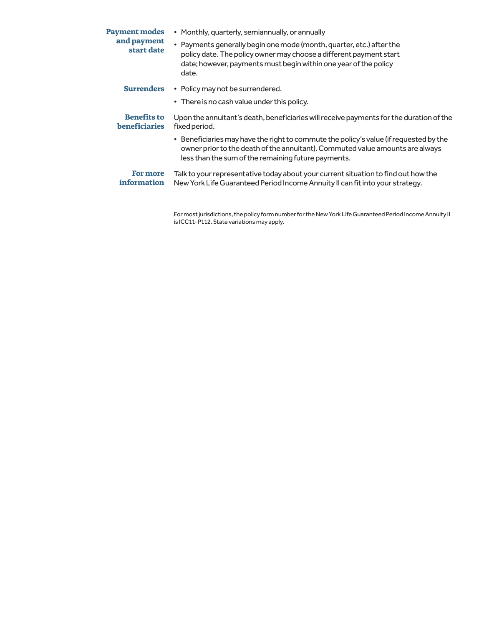| <b>Payment modes</b><br>and payment<br>start date | • Monthly, quarterly, semiannually, or annually                                                                                                                                                                               |
|---------------------------------------------------|-------------------------------------------------------------------------------------------------------------------------------------------------------------------------------------------------------------------------------|
|                                                   | • Payments generally begin one mode (month, quarter, etc.) after the<br>policy date. The policy owner may choose a different payment start<br>date; however, payments must begin within one year of the policy<br>date.       |
| <b>Surrenders</b>                                 | • Policy may not be surrendered.                                                                                                                                                                                              |
|                                                   | • There is no cash value under this policy.                                                                                                                                                                                   |
| <b>Benefits to</b><br><b>beneficiaries</b>        | Upon the annuitant's death, beneficiaries will receive payments for the duration of the<br>fixed period.                                                                                                                      |
|                                                   | • Beneficiaries may have the right to commute the policy's value (if requested by the<br>owner prior to the death of the annuitant). Commuted value amounts are always<br>less than the sum of the remaining future payments. |
| For more<br>information                           | Talk to your representative today about your current situation to find out how the<br>New York Life Guaranteed Period Income Annuity II can fit into your strategy.                                                           |

For most jurisdictions, the policy form number for the New York Life Guaranteed Period Income Annuity II is ICC11-P112. State variations may apply.